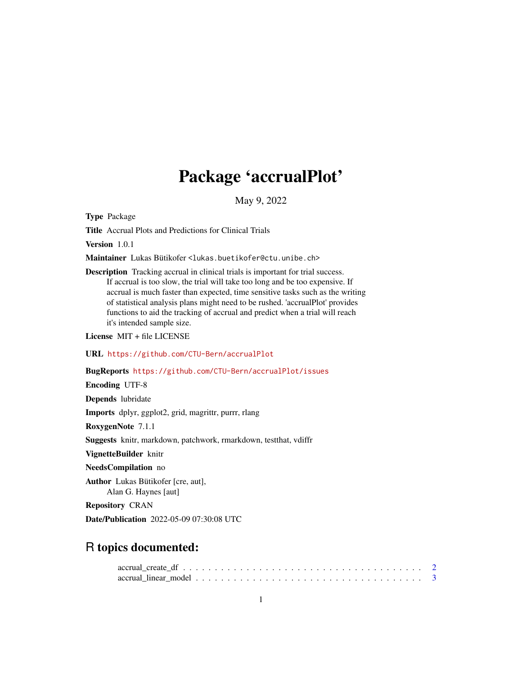# Package 'accrualPlot'

May 9, 2022

Type Package

Title Accrual Plots and Predictions for Clinical Trials

Version 1.0.1

Maintainer Lukas Bütikofer <lukas.buetikofer@ctu.unibe.ch>

Description Tracking accrual in clinical trials is important for trial success. If accrual is too slow, the trial will take too long and be too expensive. If accrual is much faster than expected, time sensitive tasks such as the writing of statistical analysis plans might need to be rushed. 'accrualPlot' provides functions to aid the tracking of accrual and predict when a trial will reach it's intended sample size.

License MIT + file LICENSE

URL <https://github.com/CTU-Bern/accrualPlot>

#### BugReports <https://github.com/CTU-Bern/accrualPlot/issues>

Encoding UTF-8

Depends lubridate

Imports dplyr, ggplot2, grid, magrittr, purrr, rlang

RoxygenNote 7.1.1

Suggests knitr, markdown, patchwork, rmarkdown, testthat, vdiffr

VignetteBuilder knitr

#### NeedsCompilation no

Author Lukas Bütikofer [cre, aut], Alan G. Haynes [aut]

Repository CRAN

Date/Publication 2022-05-09 07:30:08 UTC

# R topics documented: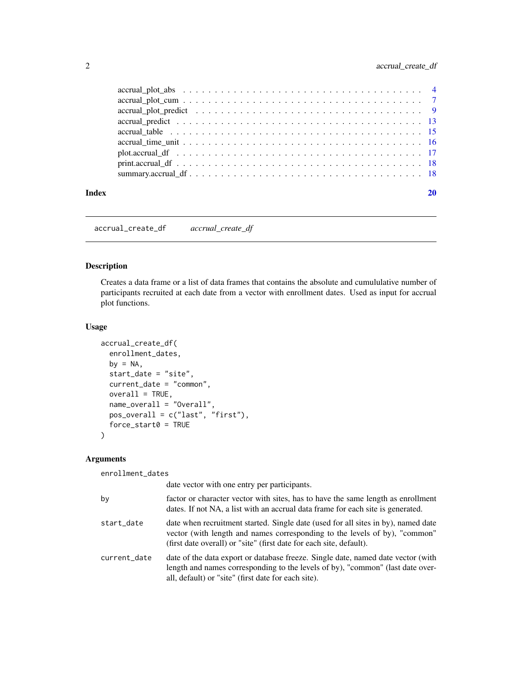<span id="page-1-0"></span>

| Index |  |
|-------|--|
|       |  |

accrual\_create\_df *accrual\_create\_df*

#### Description

Creates a data frame or a list of data frames that contains the absolute and cumululative number of participants recruited at each date from a vector with enrollment dates. Used as input for accrual plot functions.

# Usage

```
accrual_create_df(
 enrollment_dates,
 by = NA,
  start_date = "site",
  current_date = "common",
  overall = TRUE,name_overall = "Overall",
 pos_overall = c("last", "first"),
  force_start0 = TRUE
\lambda
```
#### Arguments

enrollment\_dates

date vector with one entry per participants.

| by           | factor or character vector with sites, has to have the same length as enrollment<br>dates. If not NA, a list with an accrual data frame for each site is generated.                                                                    |
|--------------|----------------------------------------------------------------------------------------------------------------------------------------------------------------------------------------------------------------------------------------|
| start_date   | date when recruitment started. Single date (used for all sites in by), named date<br>vector (with length and names corresponding to the levels of by), "common"<br>(first date overall) or "site" (first date for each site, default). |
| current_date | date of the data export or database freeze. Single date, named date vector (with<br>length and names corresponding to the levels of by), "common" (last date over-<br>all, default) or "site" (first date for each site).              |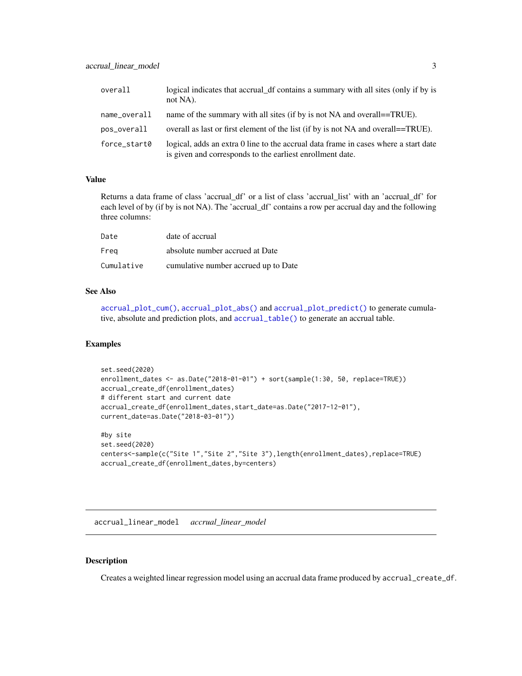<span id="page-2-0"></span>

| overall      | logical indicates that accrual df contains a summary with all sites (only if by is<br>not NA).                                                   |
|--------------|--------------------------------------------------------------------------------------------------------------------------------------------------|
| name_overall | name of the summary with all sites (if by is not NA and overall==TRUE).                                                                          |
| pos_overall  | overall as last or first element of the list (if by is not NA and overal == TRUE).                                                               |
| force_start0 | logical, adds an extra 0 line to the accrual data frame in cases where a start date<br>is given and corresponds to the earliest enrollment date. |

Returns a data frame of class 'accrual\_df' or a list of class 'accrual\_list' with an 'accrual\_df' for each level of by (if by is not NA). The 'accrual\_df' contains a row per accrual day and the following three columns:

| Date       | date of accrual                      |
|------------|--------------------------------------|
| Freg       | absolute number accrued at Date      |
| Cumulative | cumulative number accrued up to Date |

#### See Also

[accrual\\_plot\\_cum\(\)](#page-6-1), [accrual\\_plot\\_abs\(\)](#page-3-1) and [accrual\\_plot\\_predict\(\)](#page-8-1) to generate cumulative, absolute and prediction plots, and [accrual\\_table\(\)](#page-14-1) to generate an accrual table.

#### Examples

```
set.seed(2020)
enrollment_dates <- as.Date("2018-01-01") + sort(sample(1:30, 50, replace=TRUE))
accrual_create_df(enrollment_dates)
# different start and current date
accrual_create_df(enrollment_dates,start_date=as.Date("2017-12-01"),
current_date=as.Date("2018-03-01"))
#by site
set.seed(2020)
centers<-sample(c("Site 1","Site 2","Site 3"),length(enrollment_dates),replace=TRUE)
accrual_create_df(enrollment_dates,by=centers)
```
accrual\_linear\_model *accrual\_linear\_model*

#### Description

Creates a weighted linear regression model using an accrual data frame produced by accrual\_create\_df.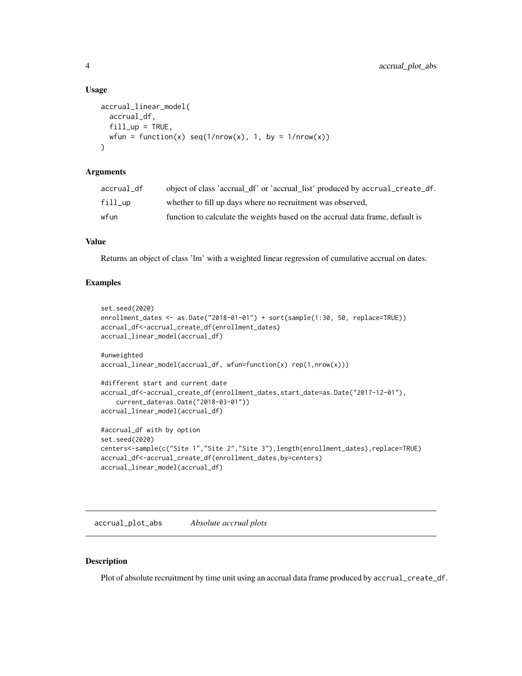#### Usage

```
accrual_linear_model(
  accrual_df,
  fill\_up = TRUE,
 wfun = function(x) seq(1/nrow(x), 1, by = 1/nrow(x))\lambda
```
#### Arguments

| accrual df      | object of class 'accrual_df' or 'accrual_list' produced by accrual_create_df. |
|-----------------|-------------------------------------------------------------------------------|
| $fill_{\sf up}$ | whether to fill up days where no recruitment was observed,                    |
| wfun            | function to calculate the weights based on the accrual data frame, default is |

#### Value

Returns an object of class 'lm' with a weighted linear regression of cumulative accrual on dates.

#### Examples

```
set.seed(2020)
enrollment_dates <- as.Date("2018-01-01") + sort(sample(1:30, 50, replace=TRUE))
accrual_df<-accrual_create_df(enrollment_dates)
accrual_linear_model(accrual_df)
#unweighted
accrual_linear_model(accrual_df, wfun=function(x) rep(1,nrow(x)))
#different start and current date
accrual_df<-accrual_create_df(enrollment_dates,start_date=as.Date("2017-12-01"),
    current_date=as.Date("2018-03-01"))
accrual_linear_model(accrual_df)
#accrual_df with by option
set.seed(2020)
centers<-sample(c("Site 1","Site 2","Site 3"),length(enrollment_dates),replace=TRUE)
accrual_df<-accrual_create_df(enrollment_dates,by=centers)
accrual_linear_model(accrual_df)
```
<span id="page-3-1"></span>

accrual\_plot\_abs *Absolute accrual plots*

#### Description

Plot of absolute recruitment by time unit using an accrual data frame produced by accrual\_create\_df.

<span id="page-3-0"></span>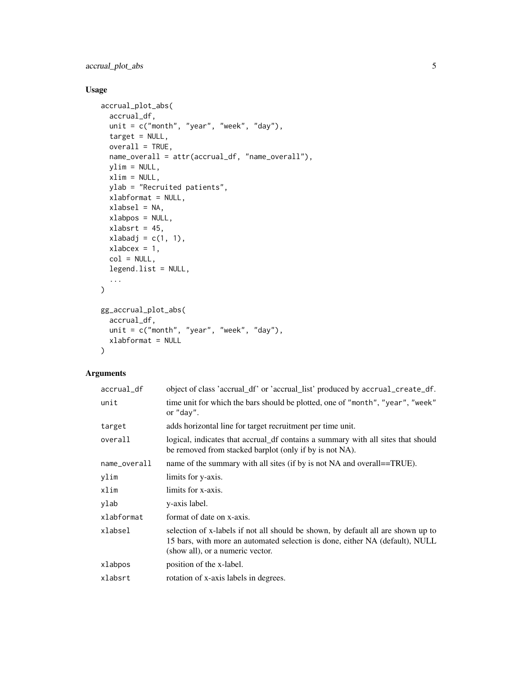## accrual\_plot\_abs 5

### Usage

```
accrual_plot_abs(
 accrual_df,
 unit = c("month", "year", "week", "day"),
  target = NULL,
 overall = TRUE,name_overall = attr(accrual_df, "name_overall"),
 ylim = NULL,
 xlim = NULL,ylab = "Recruited patients",
 xlabformat = NULL,
 xlabsel = NA,
 xlabpos = NULL,
 xlabsrt = 45,
 xlabadj = c(1, 1),
 xlabcex = 1,
 col = NULL,legend.list = NULL,
  ...
\mathcal{L}gg_accrual_plot_abs(
  accrual_df,
 unit = c("month", "year", "week", "day"),xlabformat = NULL
```

```
\mathcal{L}
```
#### Arguments

| accrual_df   | object of class 'accrual_df' or 'accrual_list' produced by accrual_create_df.                                                                                                                        |
|--------------|------------------------------------------------------------------------------------------------------------------------------------------------------------------------------------------------------|
| unit         | time unit for which the bars should be plotted, one of "month", "year", "week"<br>or "day".                                                                                                          |
| target       | adds horizontal line for target recruitment per time unit.                                                                                                                                           |
| overall      | logical, indicates that accrual_df contains a summary with all sites that should<br>be removed from stacked barplot (only if by is not NA).                                                          |
| name_overall | name of the summary with all sites (if by is not NA and overall==TRUE).                                                                                                                              |
| ylim         | limits for y-axis.                                                                                                                                                                                   |
| xlim         | limits for x-axis.                                                                                                                                                                                   |
| ylab         | y-axis label.                                                                                                                                                                                        |
| xlabformat   | format of date on x-axis.                                                                                                                                                                            |
| xlabsel      | selection of x-labels if not all should be shown, by default all are shown up to<br>15 bars, with more an automated selection is done, either NA (default), NULL<br>(show all), or a numeric vector. |
| xlabpos      | position of the x-label.                                                                                                                                                                             |
| xlabsrt      | rotation of x-axis labels in degrees.                                                                                                                                                                |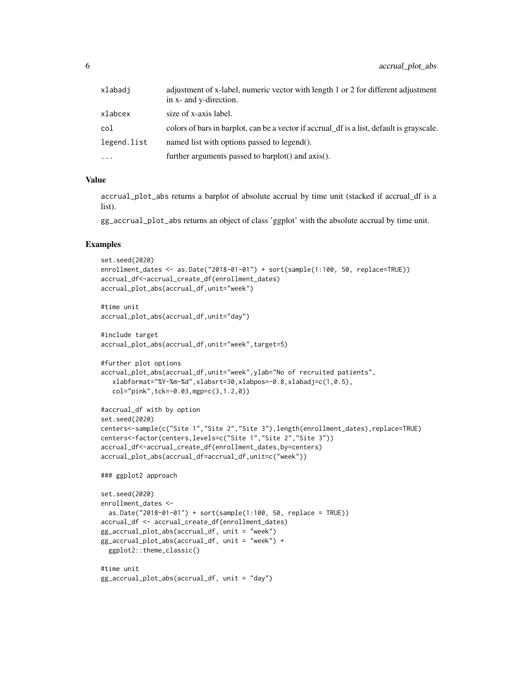| xlabadi     | adjustment of x-label, numeric vector with length 1 or 2 for different adjustment<br>in x- and y-direction. |
|-------------|-------------------------------------------------------------------------------------------------------------|
| xlabcex     | size of x-axis label.                                                                                       |
| col         | colors of bars in barplot, can be a vector if accrual df is a list, default is grayscale.                   |
| legend.list | named list with options passed to legend().                                                                 |
| $\cdots$    | further arguments passed to barplot() and axis().                                                           |

accrual\_plot\_abs returns a barplot of absolute accrual by time unit (stacked if accrual\_df is a list).

gg\_accrual\_plot\_abs returns an object of class 'ggplot' with the absolute accrual by time unit.

```
set.seed(2020)
enrollment_dates <- as.Date("2018-01-01") + sort(sample(1:100, 50, replace=TRUE))
accrual_df<-accrual_create_df(enrollment_dates)
accrual_plot_abs(accrual_df,unit="week")
#time unit
accrual_plot_abs(accrual_df,unit="day")
#include target
accrual_plot_abs(accrual_df,unit="week",target=5)
#further plot options
accrual_plot_abs(accrual_df,unit="week",ylab="No of recruited patients",
  xlabformat="%Y-%m-%d",xlabsrt=30,xlabpos=-0.8,xlabadj=c(1,0.5),
  col="pink",tck=-0.03,mgp=c(3,1.2,0))
#accrual_df with by option
set.seed(2020)
centers<-sample(c("Site 1","Site 2","Site 3"),length(enrollment_dates),replace=TRUE)
centers<-factor(centers,levels=c("Site 1","Site 2","Site 3"))
accrual_df<-accrual_create_df(enrollment_dates,by=centers)
accrual_plot_abs(accrual_df=accrual_df,unit=c("week"))
### ggplot2 approach
set.seed(2020)
enrollment_dates <-
 as.Date("2018-01-01") + sort(sample(1:100, 50, replace = TRUE))
accrual_df <- accrual_create_df(enrollment_dates)
gg_accrual_plot_abs(accrual_df, unit = "week")
gg_accrual_plot_abs(accrual_df, unit = "week") +
 ggplot2::theme_classic()
#time unit
```

```
gg_accrual_plot_abs(accrual_df, unit = "day")
```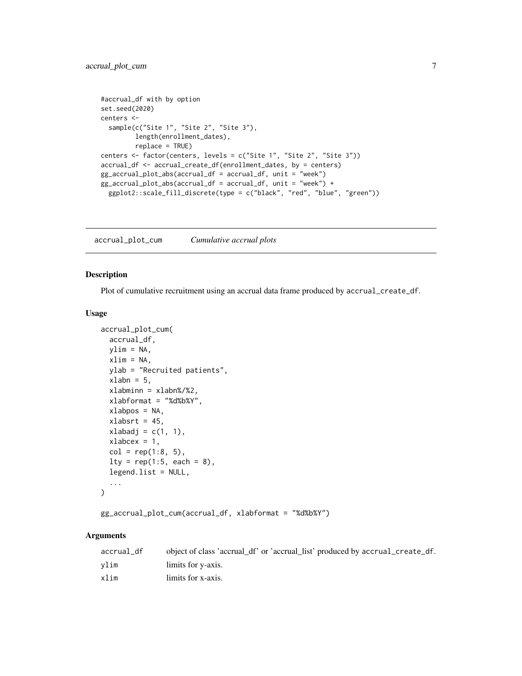```
#accrual_df with by option
set.seed(2020)
centers <-
  sample(c("Site 1", "Site 2", "Site 3"),
        length(enrollment_dates),
        replace = TRUE)
centers <- factor(centers, levels = c("Site 1", "Site 2", "Site 3"))
accrual_df <- accrual_create_df(enrollment_dates, by = centers)
gg_accrual_plot_abs(accrual_df = accrual_df, unit = "week")
gg_accrual_plot_abs(accrual_df = accrual_df, unit = "week") +
  ggplot2::scale_fill_discrete(type = c("black", "red", "blue", "green"))
```
<span id="page-6-1"></span>accrual\_plot\_cum *Cumulative accrual plots*

#### Description

Plot of cumulative recruitment using an accrual data frame produced by accrual\_create\_df.

#### Usage

```
accrual_plot_cum(
  accrual_df,
 ylim = NA,
  xlim = NA,
  ylab = "Recruited patients",
  xlabn = 5,
  xlabminn = xlabn%/%2,
  xlabformat = "%d%b%Y",
  xlabpos = NA,
  xlabsrt = 45,
  xlabadj = c(1, 1),
  xlabcex = 1,
  col = rep(1:8, 5),lty = rep(1:5, each = 8),legend.list = NULL,
  ...
)
```

```
gg_accrual_plot_cum(accrual_df, xlabformat = "%d%b%Y")
```
#### Arguments

| accrual_df | object of class 'accrual_df' or 'accrual_list' produced by accrual_create_df. |
|------------|-------------------------------------------------------------------------------|
| vlim       | limits for y-axis.                                                            |
| xlim       | limits for x-axis.                                                            |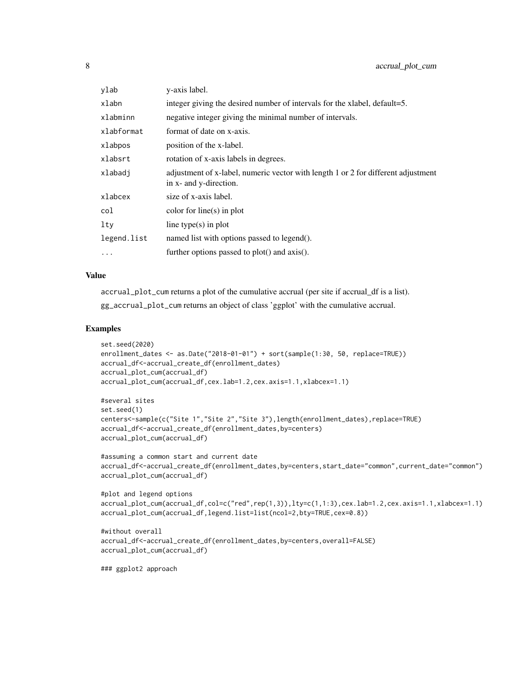| ylab        | y-axis label.                                                                                               |
|-------------|-------------------------------------------------------------------------------------------------------------|
| xlabn       | integer giving the desired number of intervals for the xlabel, default=5.                                   |
| xlabminn    | negative integer giving the minimal number of intervals.                                                    |
| xlabformat  | format of date on x-axis.                                                                                   |
| xlabpos     | position of the x-label.                                                                                    |
| xlabsrt     | rotation of x-axis labels in degrees.                                                                       |
| xlabadj     | adjustment of x-label, numeric vector with length 1 or 2 for different adjustment<br>in x- and y-direction. |
| xlabcex     | size of x-axis label.                                                                                       |
| col         | color for line(s) in plot                                                                                   |
| $1$ ty      | line type $(s)$ in plot                                                                                     |
| legend.list | named list with options passed to legend().                                                                 |
| $\ddots$    | further options passed to plot() and axis().                                                                |

accrual\_plot\_cum returns a plot of the cumulative accrual (per site if accrual\_df is a list). gg\_accrual\_plot\_cum returns an object of class 'ggplot' with the cumulative accrual.

#### Examples

```
set.seed(2020)
enrollment_dates <- as.Date("2018-01-01") + sort(sample(1:30, 50, replace=TRUE))
accrual_df<-accrual_create_df(enrollment_dates)
accrual_plot_cum(accrual_df)
accrual_plot_cum(accrual_df,cex.lab=1.2,cex.axis=1.1,xlabcex=1.1)
```

```
#several sites
set.seed(1)
centers<-sample(c("Site 1","Site 2","Site 3"),length(enrollment_dates),replace=TRUE)
accrual_df<-accrual_create_df(enrollment_dates,by=centers)
accrual_plot_cum(accrual_df)
```

```
#assuming a common start and current date
accrual_df<-accrual_create_df(enrollment_dates,by=centers,start_date="common",current_date="common")
accrual_plot_cum(accrual_df)
```

```
#plot and legend options
accrual_plot_cum(accrual_df,col=c("red",rep(1,3)),lty=c(1,1:3),cex.lab=1.2,cex.axis=1.1,xlabcex=1.1)
accrual_plot_cum(accrual_df,legend.list=list(ncol=2,bty=TRUE,cex=0.8))
```

```
#without overall
accrual_df<-accrual_create_df(enrollment_dates,by=centers,overall=FALSE)
accrual_plot_cum(accrual_df)
```
### ggplot2 approach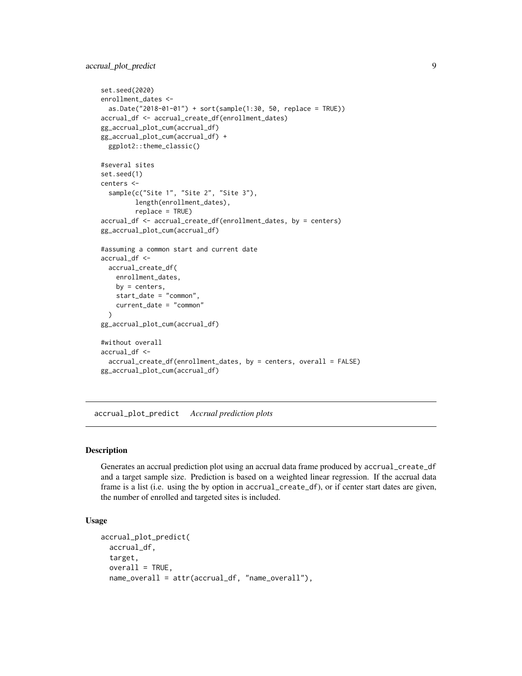```
set.seed(2020)
enrollment_dates <-
  as.Date("2018-01-01") + sort(sample(1:30, 50, replace = TRUE))
accrual_df <- accrual_create_df(enrollment_dates)
gg_accrual_plot_cum(accrual_df)
gg_accrual_plot_cum(accrual_df) +
  ggplot2::theme_classic()
#several sites
set.seed(1)
centers <-
  sample(c("Site 1", "Site 2", "Site 3"),
         length(enrollment_dates),
         replace = TRUE)
accrual_df <- accrual_create_df(enrollment_dates, by = centers)
gg_accrual_plot_cum(accrual_df)
#assuming a common start and current date
accrual_df <-
  accrual_create_df(
   enrollment_dates,
   by = centers,start_date = "common",
    current_date = "common"
  \lambdagg_accrual_plot_cum(accrual_df)
#without overall
accrual_df <-
  accrual_create_df(enrollment_dates, by = centers, overall = FALSE)
gg_accrual_plot_cum(accrual_df)
```
<span id="page-8-1"></span>accrual\_plot\_predict *Accrual prediction plots*

#### Description

Generates an accrual prediction plot using an accrual data frame produced by accrual\_create\_df and a target sample size. Prediction is based on a weighted linear regression. If the accrual data frame is a list (i.e. using the by option in accrual\_create\_df), or if center start dates are given, the number of enrolled and targeted sites is included.

#### Usage

```
accrual_plot_predict(
 accrual_df,
 target,
 overall = TRUE,name_overall = attr(accrual_df, "name_overall"),
```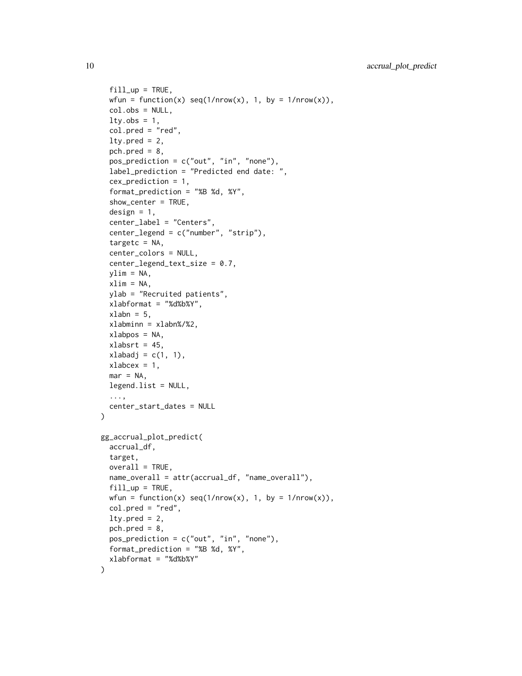```
fill\_up = TRUE,wfun = function(x) seq(1/nrow(x), 1, by = 1/nrow(x)),col.obs = NULL,lty.obs = 1,
  col.pred = "red",lty.pred = 2,
 pch.pred = 8,
 pos_prediction = c("out", "in", "none"),
  label_prediction = "Predicted end date: ",
  cex_prediction = 1,
  format_prediction = "%B %d, %Y",
  show_center = TRUE,
  design = 1,
  center_label = "Centers",
  center_legend = c("number", "strip"),
  targetc = NA,
  center_colors = NULL,
  center_legend_text_size = 0.7,
 ylim = NA,
 xlim = NA,
 ylab = "Recruited patients",
  xlabformat = "%d%b%Y",
 xlabn = 5,
  xlabminn = xlabn%/%2,
 xlabpos = NA,
 xlabsrt = 45,
 xlabadj = c(1, 1),
 xlabcex = 1,
 mar = NA,
 legend.list = NULL,
  ...,
 center_start_dates = NULL
\mathcal{L}gg_accrual_plot_predict(
  accrual_df,
 target,
 overall = TRUE,name_overall = attr(accrual_df, "name_overall"),
 fill\_up = TRUE,wfun = function(x) seq(1/nrow(x), 1, by = 1/nrow(x)),
  col.pred = "red",
 lty.pred = 2,
 pch.pred = 8,
 pos_prediction = c("out", "in", "none"),
  format_prediction = "%B %d, %Y",
 xlabformat = "%d%b%Y"
)
```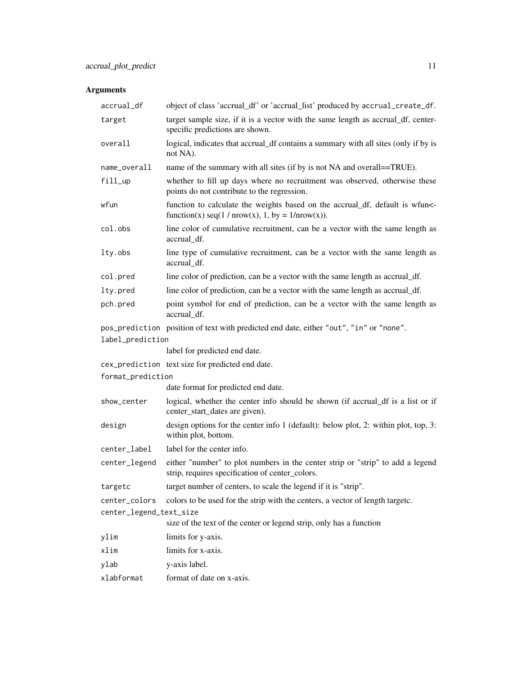# Arguments

| accrual_df              | object of class 'accrual_df' or 'accrual_list' produced by accrual_create_df.                                                      |
|-------------------------|------------------------------------------------------------------------------------------------------------------------------------|
| target                  | target sample size, if it is a vector with the same length as accrual_df, center-<br>specific predictions are shown.               |
| overall                 | logical, indicates that accrual_df contains a summary with all sites (only if by is<br>not NA).                                    |
| name_overall            | name of the summary with all sites (if by is not NA and overall==TRUE).                                                            |
| fill_up                 | whether to fill up days where no recruitment was observed, otherwise these<br>points do not contribute to the regression.          |
| wfun                    | function to calculate the weights based on the accrual_df, default is wfun<-<br>function(x) seq(1 / nrow(x), 1, by = $1/nrow(x)$ . |
| col.obs                 | line color of cumulative recruitment, can be a vector with the same length as<br>accrual_df.                                       |
| lty.obs                 | line type of cumulative recruitment, can be a vector with the same length as<br>accrual_df.                                        |
| col.pred                | line color of prediction, can be a vector with the same length as accrual_df.                                                      |
| lty.pred                | line color of prediction, can be a vector with the same length as accrual_df.                                                      |
| pch.pred                | point symbol for end of prediction, can be a vector with the same length as<br>accrual_df.                                         |
|                         | pos_prediction position of text with predicted end date, either "out", "in" or "none".                                             |
| label_prediction        |                                                                                                                                    |
|                         | label for predicted end date.                                                                                                      |
|                         | cex_prediction text size for predicted end date.                                                                                   |
| format_prediction       |                                                                                                                                    |
|                         | date format for predicted end date.                                                                                                |
| show_center             | logical, whether the center info should be shown (if accrual df is a list or if<br>center_start_dates are given).                  |
| design                  | design options for the center info 1 (default): below plot, 2: within plot, top, 3:<br>within plot, bottom.                        |
| center_label            | label for the center info.                                                                                                         |
| center_legend           | either "number" to plot numbers in the center strip or "strip" to add a legend<br>strip, requires specification of center_colors.  |
| targetc                 | target number of centers, to scale the legend if it is "strip".                                                                    |
| center_colors           | colors to be used for the strip with the centers, a vector of length targetc.                                                      |
| center_legend_text_size |                                                                                                                                    |
|                         | size of the text of the center or legend strip, only has a function                                                                |
| ylim                    | limits for y-axis.                                                                                                                 |
| xlim                    | limits for x-axis.                                                                                                                 |
| ylab                    | y-axis label.                                                                                                                      |
| xlabformat              | format of date on x-axis.                                                                                                          |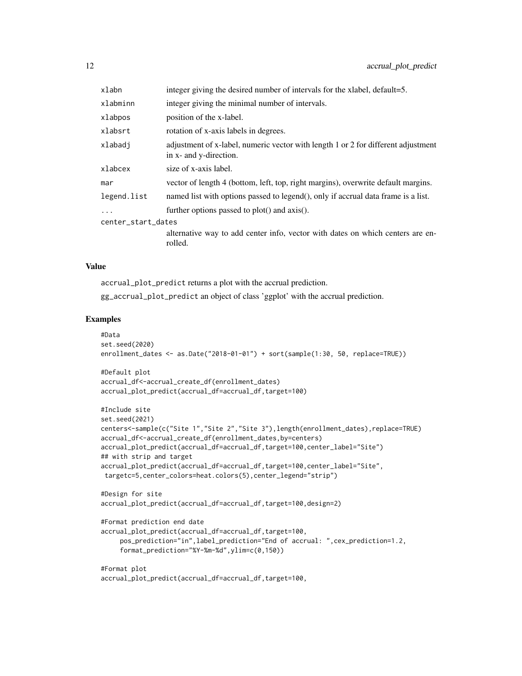| xlabn              | integer giving the desired number of intervals for the xlabel, default=5.                                   |  |  |  |
|--------------------|-------------------------------------------------------------------------------------------------------------|--|--|--|
| xlabminn           | integer giving the minimal number of intervals.                                                             |  |  |  |
| xlabpos            | position of the x-label.                                                                                    |  |  |  |
| xlabsrt            | rotation of x-axis labels in degrees.                                                                       |  |  |  |
| xlabadi            | adjustment of x-label, numeric vector with length 1 or 2 for different adjustment<br>in x- and y-direction. |  |  |  |
| xlabcex            | size of x-axis label.                                                                                       |  |  |  |
| mar                | vector of length 4 (bottom, left, top, right margins), overwrite default margins.                           |  |  |  |
| legend.list        | named list with options passed to legend(), only if accrual data frame is a list.                           |  |  |  |
| $\cdots$           | further options passed to plot() and axis().                                                                |  |  |  |
| center_start_dates |                                                                                                             |  |  |  |
|                    | alternative way to add center info, vector with dates on which centers are en-<br>rolled.                   |  |  |  |

accrual\_plot\_predict returns a plot with the accrual prediction.

accrual\_plot\_predict(accrual\_df=accrual\_df,target=100,

gg\_accrual\_plot\_predict an object of class 'ggplot' with the accrual prediction.

```
#Data
set.seed(2020)
enrollment_dates <- as.Date("2018-01-01") + sort(sample(1:30, 50, replace=TRUE))
#Default plot
accrual_df<-accrual_create_df(enrollment_dates)
accrual_plot_predict(accrual_df=accrual_df,target=100)
#Include site
set.seed(2021)
centers<-sample(c("Site 1","Site 2","Site 3"),length(enrollment_dates),replace=TRUE)
accrual_df<-accrual_create_df(enrollment_dates,by=centers)
accrual_plot_predict(accrual_df=accrual_df,target=100,center_label="Site")
## with strip and target
accrual_plot_predict(accrual_df=accrual_df,target=100,center_label="Site",
targetc=5,center_colors=heat.colors(5),center_legend="strip")
#Design for site
accrual_plot_predict(accrual_df=accrual_df,target=100,design=2)
#Format prediction end date
accrual_plot_predict(accrual_df=accrual_df,target=100,
     pos_prediction="in",label_prediction="End of accrual: ",cex_prediction=1.2,
     format_prediction="%Y-%m-%d",ylim=c(0,150))
#Format plot
```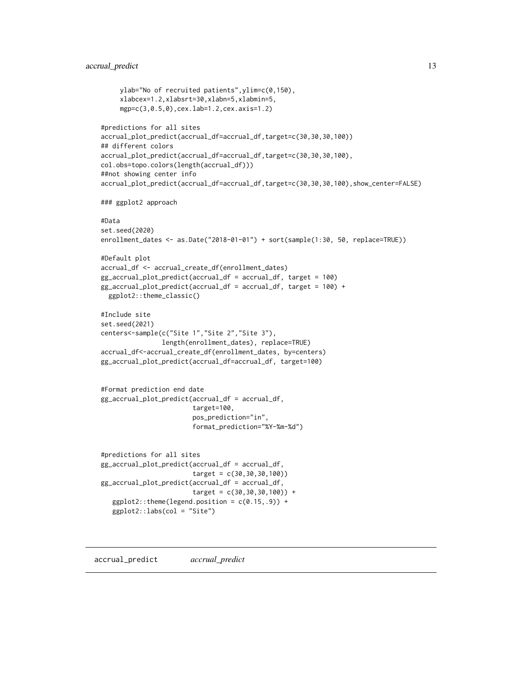#### <span id="page-12-0"></span>accrual\_predict 13

```
ylab="No of recruited patients",ylim=c(0,150),
     xlabcex=1.2,xlabsrt=30,xlabn=5,xlabmin=5,
     mgp=c(3,0.5,0),cex.lab=1.2,cex.axis=1.2)
#predictions for all sites
accrual_plot_predict(accrual_df=accrual_df,target=c(30,30,30,100))
## different colors
accrual_plot_predict(accrual_df=accrual_df,target=c(30,30,30,100),
col.obs=topo.colors(length(accrual_df)))
##not showing center info
accrual_plot_predict(accrual_df=accrual_df,target=c(30,30,30,100),show_center=FALSE)
### ggplot2 approach
#Data
set.seed(2020)
enrollment_dates <- as.Date("2018-01-01") + sort(sample(1:30, 50, replace=TRUE))
#Default plot
accrual_df <- accrual_create_df(enrollment_dates)
gg_accrual_plot_predict(accrual_df = accrual_df, target = 100)
gg_accrual_plot_predict(accrual_df = accrual_df, target = 100) +
 ggplot2::theme_classic()
#Include site
set.seed(2021)
centers<-sample(c("Site 1","Site 2","Site 3"),
                length(enrollment_dates), replace=TRUE)
accrual_df<-accrual_create_df(enrollment_dates, by=centers)
gg_accrual_plot_predict(accrual_df=accrual_df, target=100)
#Format prediction end date
gg_accrual_plot_predict(accrual_df = accrual_df,
                        target=100,
                        pos_prediction="in",
                        format_prediction="%Y-%m-%d")
#predictions for all sites
gg_accrual_plot_predict(accrual_df = accrual_df,
                        target = c(30,30,30,100))
gg_accrual_plot_predict(accrual_df = accrual_df,
                        target = c(30,30,30,100)) +
   ggplot2::theme(legend.position = c(0.15,.9)) +ggplot2::labs(col = "Site")
```
accrual\_predict *accrual\_predict*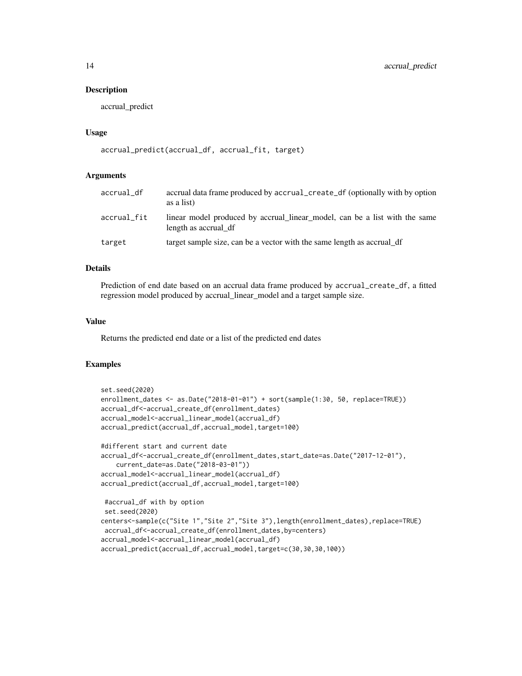#### Description

accrual\_predict

#### Usage

```
accrual_predict(accrual_df, accrual_fit, target)
```
#### Arguments

| accrual_df  | accrual data frame produced by accrual create df (optionally with by option<br>as a list)          |
|-------------|----------------------------------------------------------------------------------------------------|
| accrual_fit | linear model produced by accrual linear model, can be a list with the same<br>length as accrual df |
| target      | target sample size, can be a vector with the same length as accrual df                             |

#### Details

Prediction of end date based on an accrual data frame produced by accrual\_create\_df, a fitted regression model produced by accrual\_linear\_model and a target sample size.

#### Value

Returns the predicted end date or a list of the predicted end dates

```
set.seed(2020)
enrollment_dates <- as.Date("2018-01-01") + sort(sample(1:30, 50, replace=TRUE))
accrual_df<-accrual_create_df(enrollment_dates)
accrual_model<-accrual_linear_model(accrual_df)
accrual_predict(accrual_df,accrual_model,target=100)
#different start and current date
accrual_df<-accrual_create_df(enrollment_dates,start_date=as.Date("2017-12-01"),
    current_date=as.Date("2018-03-01"))
accrual_model<-accrual_linear_model(accrual_df)
accrual_predict(accrual_df,accrual_model,target=100)
#accrual_df with by option
set.seed(2020)
centers<-sample(c("Site 1","Site 2","Site 3"),length(enrollment_dates),replace=TRUE)
accrual_df<-accrual_create_df(enrollment_dates,by=centers)
accrual_model<-accrual_linear_model(accrual_df)
accrual_predict(accrual_df,accrual_model,target=c(30,30,30,100))
```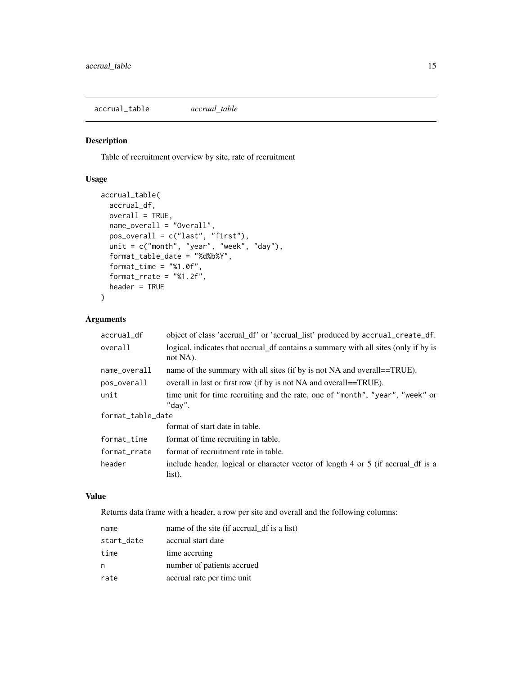<span id="page-14-1"></span><span id="page-14-0"></span>accrual\_table *accrual\_table*

#### Description

Table of recruitment overview by site, rate of recruitment

#### Usage

```
accrual_table(
  accrual_df,
 overall = TRUE,
 name_overall = "Overall",
 pos_overall = c("last", "first"),
 unit = c("month", "year", "week", "day"),
  format_table_date = "%d%b%Y",
  format_time = "%1.0f",format_rrate = "%1.2f",
  header = TRUE
\lambda
```
#### Arguments

| accrual_df        | object of class 'accrual_df' or 'accrual_list' produced by accrual_create_df.                   |
|-------------------|-------------------------------------------------------------------------------------------------|
| overall           | logical, indicates that accrual df contains a summary with all sites (only if by is<br>not NA). |
| name_overall      | name of the summary with all sites (if by is not NA and overall==TRUE).                         |
| pos_overall       | overall in last or first row (if by is not NA and overall==TRUE).                               |
| unit              | time unit for time recruiting and the rate, one of "month", "year", "week" or<br>"dav".         |
| format_table_date |                                                                                                 |
|                   | format of start date in table.                                                                  |
| format_time       | format of time recruiting in table.                                                             |
| format rrate      | format of recruitment rate in table.                                                            |
| header            | include header, logical or character vector of length 4 or 5 (if accrual df is a<br>list).      |

#### Value

Returns data frame with a header, a row per site and overall and the following columns:

| name       | name of the site (if accrual df is a list) |
|------------|--------------------------------------------|
| start_date | accrual start date                         |
| time       | time accruing                              |
| n          | number of patients accrued                 |
| rate       | accrual rate per time unit                 |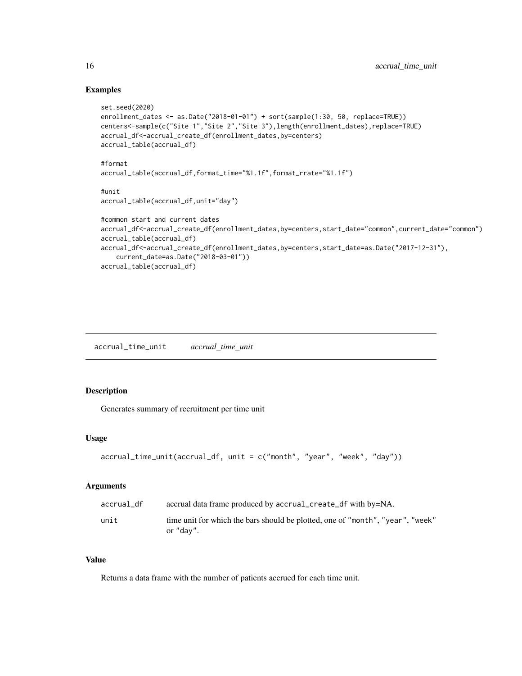#### Examples

```
set.seed(2020)
enrollment_dates <- as.Date("2018-01-01") + sort(sample(1:30, 50, replace=TRUE))
centers<-sample(c("Site 1","Site 2","Site 3"),length(enrollment_dates),replace=TRUE)
accrual_df<-accrual_create_df(enrollment_dates,by=centers)
accrual_table(accrual_df)
#format
accrual_table(accrual_df,format_time="%1.1f",format_rrate="%1.1f")
#unit
accrual_table(accrual_df,unit="day")
#common start and current dates
accrual_df<-accrual_create_df(enrollment_dates,by=centers,start_date="common",current_date="common")
accrual_table(accrual_df)
accrual_df<-accrual_create_df(enrollment_dates,by=centers,start_date=as.Date("2017-12-31"),
    current_date=as.Date("2018-03-01"))
accrual_table(accrual_df)
```
accrual\_time\_unit *accrual\_time\_unit*

#### Description

Generates summary of recruitment per time unit

#### Usage

```
accrual_time_unit(accrual_df, unit = c("month", "year", "week", "day"))
```
#### **Arguments**

| accrual df | accrual data frame produced by accrual_create_df with by=NA.                                |
|------------|---------------------------------------------------------------------------------------------|
| unit       | time unit for which the bars should be plotted, one of "month", "year", "week"<br>or "day". |

#### Value

Returns a data frame with the number of patients accrued for each time unit.

<span id="page-15-0"></span>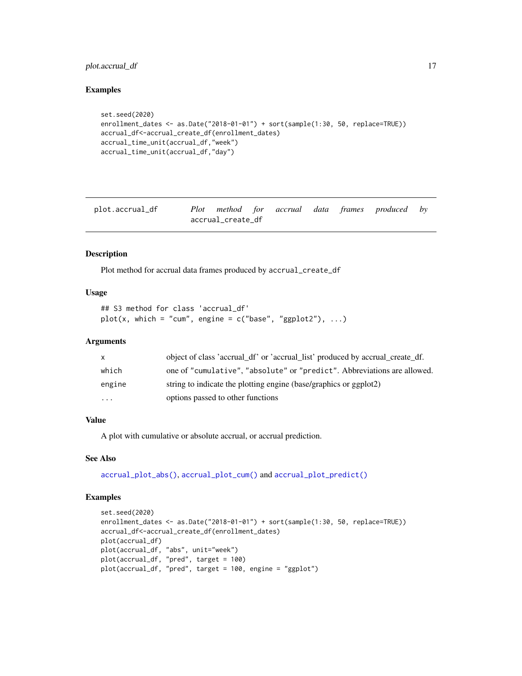#### <span id="page-16-0"></span>plot.accrual\_df 17

#### Examples

```
set.seed(2020)
enrollment_dates <- as.Date("2018-01-01") + sort(sample(1:30, 50, replace=TRUE))
accrual_df<-accrual_create_df(enrollment_dates)
accrual_time_unit(accrual_df,"week")
accrual_time_unit(accrual_df,"day")
```

| plot.accrual_df |                   |  |  | Plot method for accrual data frames produced by |  |
|-----------------|-------------------|--|--|-------------------------------------------------|--|
|                 | accrual_create_df |  |  |                                                 |  |

#### Description

Plot method for accrual data frames produced by accrual\_create\_df

#### Usage

```
## S3 method for class 'accrual_df'
plot(x, which = "cum", engine = c("base", "ggplot2"), ...)
```
#### Arguments

| X        | object of class 'accrual_df' or 'accrual_list' produced by accrual_create_df. |
|----------|-------------------------------------------------------------------------------|
| which    | one of "cumulative", "absolute" or "predict". Abbreviations are allowed.      |
| engine   | string to indicate the plotting engine (base/graphics or ggplot2)             |
| $\cdots$ | options passed to other functions                                             |

#### Value

A plot with cumulative or absolute accrual, or accrual prediction.

#### See Also

[accrual\\_plot\\_abs\(\)](#page-3-1), [accrual\\_plot\\_cum\(\)](#page-6-1) and [accrual\\_plot\\_predict\(\)](#page-8-1)

```
set.seed(2020)
enrollment_dates <- as.Date("2018-01-01") + sort(sample(1:30, 50, replace=TRUE))
accrual_df<-accrual_create_df(enrollment_dates)
plot(accrual_df)
plot(accrual_df, "abs", unit="week")
plot(accrual_df, "pred", target = 100)
plot(accrual_df, "pred", target = 100, engine = "ggplot")
```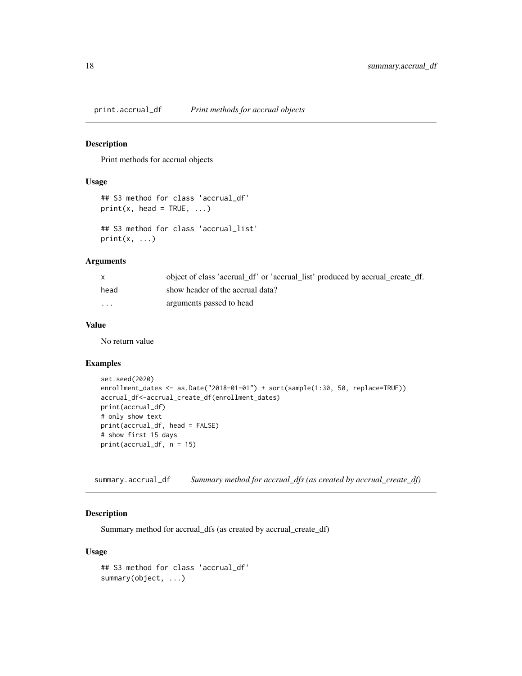<span id="page-17-0"></span>print.accrual\_df *Print methods for accrual objects*

#### Description

Print methods for accrual objects

#### Usage

```
## S3 method for class 'accrual_df'
print(x, head = TRUE, ...)## S3 method for class 'accrual_list'
print(x, \ldots)
```
#### Arguments

|          | object of class 'accrual_df' or 'accrual_list' produced by accrual_create_df. |
|----------|-------------------------------------------------------------------------------|
| head     | show header of the accrual data?                                              |
| $\cdots$ | arguments passed to head                                                      |

#### Value

No return value

#### Examples

```
set.seed(2020)
enrollment_dates <- as.Date("2018-01-01") + sort(sample(1:30, 50, replace=TRUE))
accrual_df<-accrual_create_df(enrollment_dates)
print(accrual_df)
# only show text
print(accrual_df, head = FALSE)
# show first 15 days
print(accrual_df, n = 15)
```
summary.accrual\_df *Summary method for accrual\_dfs (as created by accrual\_create\_df)*

#### Description

Summary method for accrual\_dfs (as created by accrual\_create\_df)

#### Usage

```
## S3 method for class 'accrual_df'
summary(object, ...)
```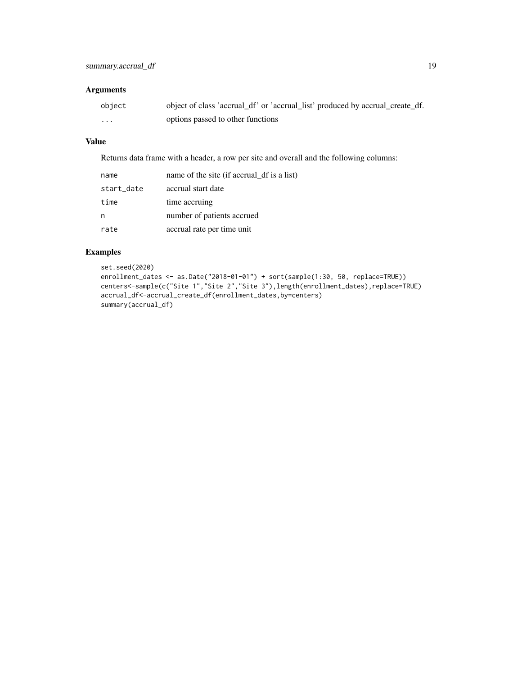#### Arguments

| object | object of class 'accrual_df' or 'accrual_list' produced by accrual_create_df. |
|--------|-------------------------------------------------------------------------------|
| .      | options passed to other functions                                             |

### Value

Returns data frame with a header, a row per site and overall and the following columns:

| name       | name of the site (if accrual df is a list) |
|------------|--------------------------------------------|
| start_date | accrual start date                         |
| time       | time accruing                              |
|            | number of patients accrued                 |
| rate       | accrual rate per time unit                 |

```
set.seed(2020)
enrollment_dates <- as.Date("2018-01-01") + sort(sample(1:30, 50, replace=TRUE))
centers<-sample(c("Site 1","Site 2","Site 3"),length(enrollment_dates),replace=TRUE)
accrual_df<-accrual_create_df(enrollment_dates,by=centers)
summary(accrual_df)
```